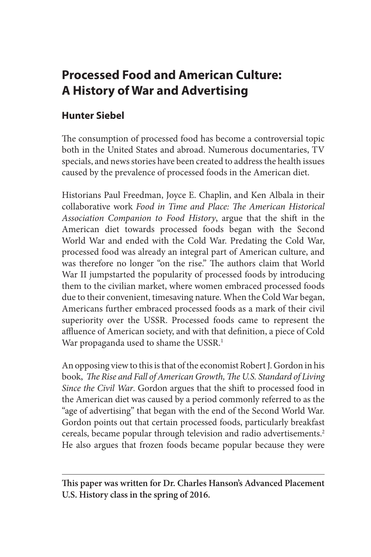# **Processed Food and American Culture: A History of War and Advertising**

## **Hunter Siebel**

The consumption of processed food has become a controversial topic both in the United States and abroad. Numerous documentaries, TV specials, and news stories have been created to address the health issues caused by the prevalence of processed foods in the American diet.

Historians Paul Freedman, Joyce E. Chaplin, and Ken Albala in their collaborative work *Food in Time and Place: The American Historical Association Companion to Food History*, argue that the shift in the American diet towards processed foods began with the Second World War and ended with the Cold War. Predating the Cold War, processed food was already an integral part of American culture, and was therefore no longer "on the rise." The authors claim that World War II jumpstarted the popularity of processed foods by introducing them to the civilian market, where women embraced processed foods due to their convenient, timesaving nature. When the Cold War began, Americans further embraced processed foods as a mark of their civil superiority over the USSR. Processed foods came to represent the affluence of American society, and with that definition, a piece of Cold War propaganda used to shame the USSR.<sup>1</sup>

An opposing view to this is that of the economist Robert J. Gordon in his book, *The Rise and Fall of American Growth, The U.S. Standard of Living Since the Civil War*. Gordon argues that the shift to processed food in the American diet was caused by a period commonly referred to as the "age of advertising" that began with the end of the Second World War. Gordon points out that certain processed foods, particularly breakfast cereals, became popular through television and radio advertisements.<sup>2</sup> He also argues that frozen foods became popular because they were

**This paper was written for Dr. Charles Hanson's Advanced Placement U.S. History class in the spring of 2016.**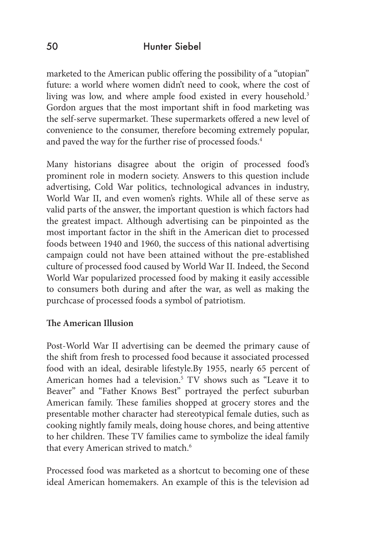marketed to the American public offering the possibility of a "utopian" future: a world where women didn't need to cook, where the cost of living was low, and where ample food existed in every household.<sup>3</sup> Gordon argues that the most important shift in food marketing was the self-serve supermarket. These supermarkets offered a new level of convenience to the consumer, therefore becoming extremely popular, and paved the way for the further rise of processed foods.<sup>4</sup>

Many historians disagree about the origin of processed food's prominent role in modern society. Answers to this question include advertising, Cold War politics, technological advances in industry, World War II, and even women's rights. While all of these serve as valid parts of the answer, the important question is which factors had the greatest impact. Although advertising can be pinpointed as the most important factor in the shift in the American diet to processed foods between 1940 and 1960, the success of this national advertising campaign could not have been attained without the pre-established culture of processed food caused by World War II. Indeed, the Second World War popularized processed food by making it easily accessible to consumers both during and after the war, as well as making the purchcase of processed foods a symbol of patriotism.

### **The American Illusion**

Post-World War II advertising can be deemed the primary cause of the shift from fresh to processed food because it associated processed food with an ideal, desirable lifestyle.By 1955, nearly 65 percent of American homes had a television.<sup>5</sup> TV shows such as "Leave it to Beaver" and "Father Knows Best" portrayed the perfect suburban American family. These families shopped at grocery stores and the presentable mother character had stereotypical female duties, such as cooking nightly family meals, doing house chores, and being attentive to her children. These TV families came to symbolize the ideal family that every American strived to match.<sup>6</sup>

Processed food was marketed as a shortcut to becoming one of these ideal American homemakers. An example of this is the television ad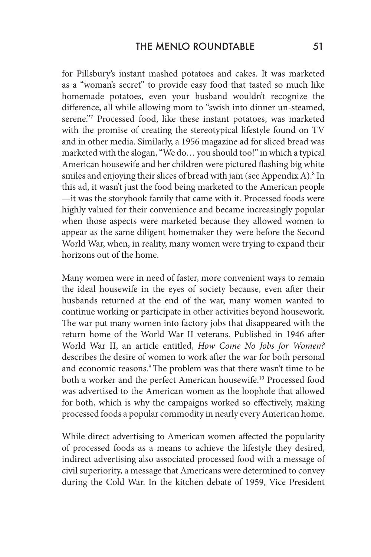for Pillsbury's instant mashed potatoes and cakes. It was marketed as a "woman's secret" to provide easy food that tasted so much like homemade potatoes, even your husband wouldn't recognize the difference, all while allowing mom to "swish into dinner un-steamed, serene."7 Processed food, like these instant potatoes, was marketed with the promise of creating the stereotypical lifestyle found on TV and in other media. Similarly, a 1956 magazine ad for sliced bread was marketed with the slogan, "We do… you should too!" in which a typical American housewife and her children were pictured flashing big white smiles and enjoying their slices of bread with jam (see Appendix A). $8$  In this ad, it wasn't just the food being marketed to the American people —it was the storybook family that came with it. Processed foods were highly valued for their convenience and became increasingly popular when those aspects were marketed because they allowed women to appear as the same diligent homemaker they were before the Second World War, when, in reality, many women were trying to expand their horizons out of the home.

Many women were in need of faster, more convenient ways to remain the ideal housewife in the eyes of society because, even after their husbands returned at the end of the war, many women wanted to continue working or participate in other activities beyond housework. The war put many women into factory jobs that disappeared with the return home of the World War II veterans. Published in 1946 after World War II, an article entitled, *How Come No Jobs for Women?*  describes the desire of women to work after the war for both personal and economic reasons.<sup>9</sup> The problem was that there wasn't time to be both a worker and the perfect American housewife.<sup>10</sup> Processed food was advertised to the American women as the loophole that allowed for both, which is why the campaigns worked so effectively, making processed foods a popular commodity in nearly every American home.

While direct advertising to American women affected the popularity of processed foods as a means to achieve the lifestyle they desired, indirect advertising also associated processed food with a message of civil superiority, a message that Americans were determined to convey during the Cold War. In the kitchen debate of 1959, Vice President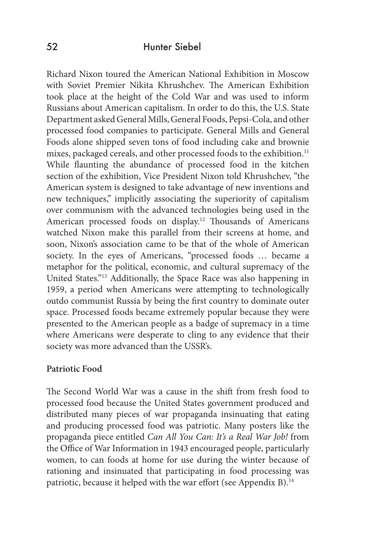Richard Nixon toured the American National Exhibition in Moscow with Soviet Premier Nikita Khrushchev. The American Exhibition took place at the height of the Cold War and was used to inform Russians about American capitalism. In order to do this, the U.S. State Department asked General Mills, General Foods, Pepsi-Cola, and other processed food companies to participate. General Mills and General Foods alone shipped seven tons of food including cake and brownie mixes, packaged cereals, and other processed foods to the exhibition.<sup>11</sup> While flaunting the abundance of processed food in the kitchen section of the exhibition, Vice President Nixon told Khrushchev, "the American system is designed to take advantage of new inventions and new techniques," implicitly associating the superiority of capitalism over communism with the advanced technologies being used in the American processed foods on display.<sup>12</sup> Thousands of Americans watched Nixon make this parallel from their screens at home, and soon, Nixon's association came to be that of the whole of American society. In the eyes of Americans, "processed foods … became a metaphor for the political, economic, and cultural supremacy of the United States."13 Additionally, the Space Race was also happening in 1959, a period when Americans were attempting to technologically outdo communist Russia by being the first country to dominate outer space. Processed foods became extremely popular because they were presented to the American people as a badge of supremacy in a time where Americans were desperate to cling to any evidence that their society was more advanced than the USSR's.

#### **Patriotic Food**

The Second World War was a cause in the shift from fresh food to processed food because the United States government produced and distributed many pieces of war propaganda insinuating that eating and producing processed food was patriotic. Many posters like the propaganda piece entitled *Can All You Can: It's a Real War Job!* from the Office of War Information in 1943 encouraged people, particularly women, to can foods at home for use during the winter because of rationing and insinuated that participating in food processing was patriotic, because it helped with the war effort (see Appendix B).<sup>14</sup>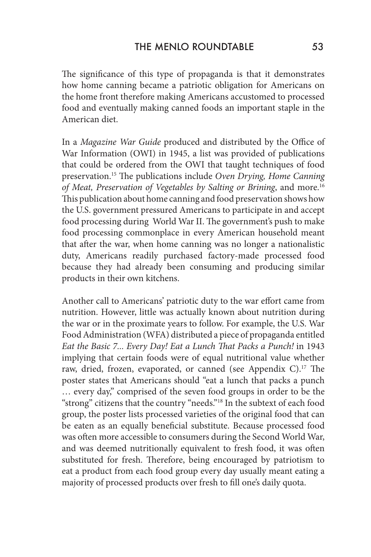The significance of this type of propaganda is that it demonstrates how home canning became a patriotic obligation for Americans on the home front therefore making Americans accustomed to processed food and eventually making canned foods an important staple in the American diet.

In a *Magazine War Guide* produced and distributed by the Office of War Information (OWI) in 1945, a list was provided of publications that could be ordered from the OWI that taught techniques of food preservation.15 The publications include *Oven Drying, Home Canning of Meat, Preservation of Vegetables by Salting or Brining*, and more.16 This publication about home canning and food preservation shows how the U.S. government pressured Americans to participate in and accept food processing during World War II. The government's push to make food processing commonplace in every American household meant that after the war, when home canning was no longer a nationalistic duty, Americans readily purchased factory-made processed food because they had already been consuming and producing similar products in their own kitchens.

Another call to Americans' patriotic duty to the war effort came from nutrition. However, little was actually known about nutrition during the war or in the proximate years to follow. For example, the U.S. War Food Administration (WFA) distributed a piece of propaganda entitled *Eat the Basic 7... Every Day! Eat a Lunch That Packs a Punch!* in 1943 implying that certain foods were of equal nutritional value whether raw, dried, frozen, evaporated, or canned (see Appendix C).<sup>17</sup> The poster states that Americans should "eat a lunch that packs a punch … every day," comprised of the seven food groups in order to be the "strong" citizens that the country "needs."18 In the subtext of each food group, the poster lists processed varieties of the original food that can be eaten as an equally beneficial substitute. Because processed food was often more accessible to consumers during the Second World War, and was deemed nutritionally equivalent to fresh food, it was often substituted for fresh. Therefore, being encouraged by patriotism to eat a product from each food group every day usually meant eating a majority of processed products over fresh to fill one's daily quota.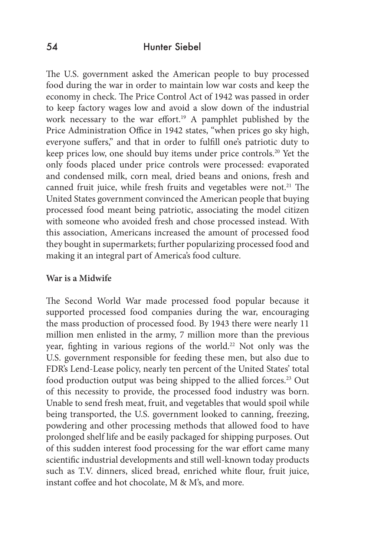The U.S. government asked the American people to buy processed food during the war in order to maintain low war costs and keep the economy in check. The Price Control Act of 1942 was passed in order to keep factory wages low and avoid a slow down of the industrial work necessary to the war effort.<sup>19</sup> A pamphlet published by the Price Administration Office in 1942 states, "when prices go sky high, everyone suffers," and that in order to fulfill one's patriotic duty to keep prices low, one should buy items under price controls.<sup>20</sup> Yet the only foods placed under price controls were processed: evaporated and condensed milk, corn meal, dried beans and onions, fresh and canned fruit juice, while fresh fruits and vegetables were not.<sup>21</sup> The United States government convinced the American people that buying processed food meant being patriotic, associating the model citizen with someone who avoided fresh and chose processed instead. With this association, Americans increased the amount of processed food they bought in supermarkets; further popularizing processed food and making it an integral part of America's food culture.

#### **War is a Midwife**

The Second World War made processed food popular because it supported processed food companies during the war, encouraging the mass production of processed food. By 1943 there were nearly 11 million men enlisted in the army, 7 million more than the previous year, fighting in various regions of the world.<sup>22</sup> Not only was the U.S. government responsible for feeding these men, but also due to FDR's Lend-Lease policy, nearly ten percent of the United States' total food production output was being shipped to the allied forces.<sup>23</sup> Out of this necessity to provide, the processed food industry was born. Unable to send fresh meat, fruit, and vegetables that would spoil while being transported, the U.S. government looked to canning, freezing, powdering and other processing methods that allowed food to have prolonged shelf life and be easily packaged for shipping purposes. Out of this sudden interest food processing for the war effort came many scientific industrial developments and still well-known today products such as T.V. dinners, sliced bread, enriched white flour, fruit juice, instant coffee and hot chocolate, M & M's, and more.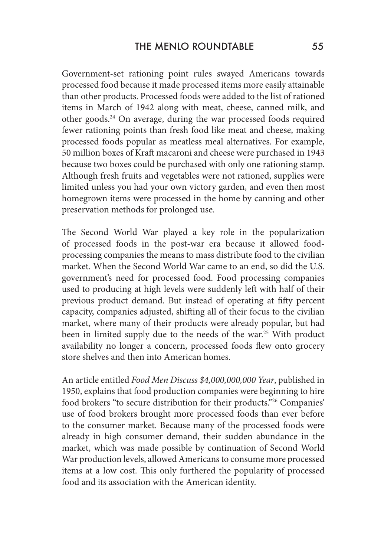Government-set rationing point rules swayed Americans towards processed food because it made processed items more easily attainable than other products. Processed foods were added to the list of rationed items in March of 1942 along with meat, cheese, canned milk, and other goods.24 On average, during the war processed foods required fewer rationing points than fresh food like meat and cheese, making processed foods popular as meatless meal alternatives. For example, 50 million boxes of Kraft macaroni and cheese were purchased in 1943 because two boxes could be purchased with only one rationing stamp. Although fresh fruits and vegetables were not rationed, supplies were limited unless you had your own victory garden, and even then most homegrown items were processed in the home by canning and other preservation methods for prolonged use.

The Second World War played a key role in the popularization of processed foods in the post-war era because it allowed foodprocessing companies the means to mass distribute food to the civilian market. When the Second World War came to an end, so did the U.S. government's need for processed food. Food processing companies used to producing at high levels were suddenly left with half of their previous product demand. But instead of operating at fifty percent capacity, companies adjusted, shifting all of their focus to the civilian market, where many of their products were already popular, but had been in limited supply due to the needs of the war.<sup>25</sup> With product availability no longer a concern, processed foods flew onto grocery store shelves and then into American homes.

An article entitled *Food Men Discuss \$4,000,000,000 Year*, published in 1950, explains that food production companies were beginning to hire food brokers "to secure distribution for their products."26 Companies' use of food brokers brought more processed foods than ever before to the consumer market. Because many of the processed foods were already in high consumer demand, their sudden abundance in the market, which was made possible by continuation of Second World War production levels, allowed Americans to consume more processed items at a low cost. This only furthered the popularity of processed food and its association with the American identity.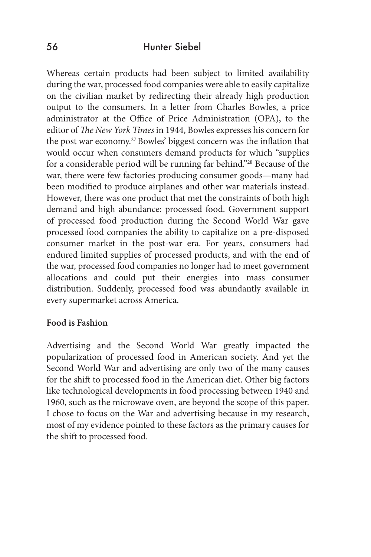Whereas certain products had been subject to limited availability during the war, processed food companies were able to easily capitalize on the civilian market by redirecting their already high production output to the consumers. In a letter from Charles Bowles, a price administrator at the Office of Price Administration (OPA), to the editor of *The New York Times* in 1944, Bowles expresses his concern for the post war economy.<sup>27</sup> Bowles' biggest concern was the inflation that would occur when consumers demand products for which "supplies for a considerable period will be running far behind."28 Because of the war, there were few factories producing consumer goods—many had been modified to produce airplanes and other war materials instead. However, there was one product that met the constraints of both high demand and high abundance: processed food. Government support of processed food production during the Second World War gave processed food companies the ability to capitalize on a pre-disposed consumer market in the post-war era. For years, consumers had endured limited supplies of processed products, and with the end of the war, processed food companies no longer had to meet government allocations and could put their energies into mass consumer distribution. Suddenly, processed food was abundantly available in every supermarket across America.

#### **Food is Fashion**

Advertising and the Second World War greatly impacted the popularization of processed food in American society. And yet the Second World War and advertising are only two of the many causes for the shift to processed food in the American diet. Other big factors like technological developments in food processing between 1940 and 1960, such as the microwave oven, are beyond the scope of this paper. I chose to focus on the War and advertising because in my research, most of my evidence pointed to these factors as the primary causes for the shift to processed food.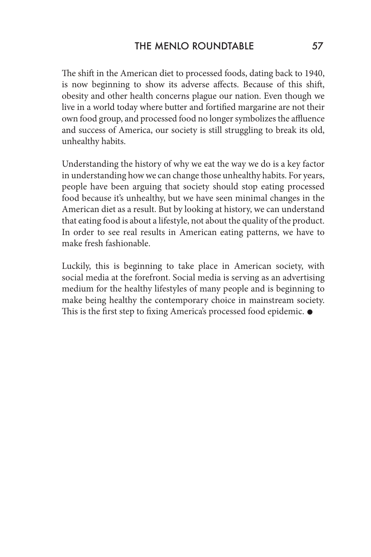The shift in the American diet to processed foods, dating back to 1940, is now beginning to show its adverse affects. Because of this shift, obesity and other health concerns plague our nation. Even though we live in a world today where butter and fortified margarine are not their own food group, and processed food no longer symbolizes the affluence and success of America, our society is still struggling to break its old, unhealthy habits.

Understanding the history of why we eat the way we do is a key factor in understanding how we can change those unhealthy habits. For years, people have been arguing that society should stop eating processed food because it's unhealthy, but we have seen minimal changes in the American diet as a result. But by looking at history, we can understand that eating food is about a lifestyle, not about the quality of the product. In order to see real results in American eating patterns, we have to make fresh fashionable.

Luckily, this is beginning to take place in American society, with social media at the forefront. Social media is serving as an advertising medium for the healthy lifestyles of many people and is beginning to make being healthy the contemporary choice in mainstream society. This is the first step to fixing America's processed food epidemic.  $\bullet$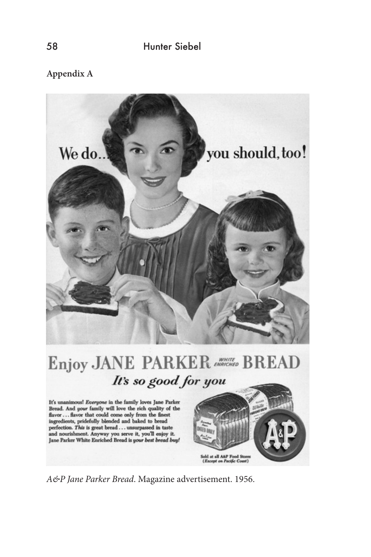**Appendix A**



An a maximum correlation of the state of the state of the flavor . . . flavor that could come only from the finest ingredients, pridefully blended and baked to bread perfection. This is great bread . . . unsurpassed in taste and nourishment. Anyway you serve it, you'll enjoy it.<br>Jane Parker White Enriched Bread is your best bread buy!



*A&P Jane Parker Bread*. Magazine advertisement. 1956.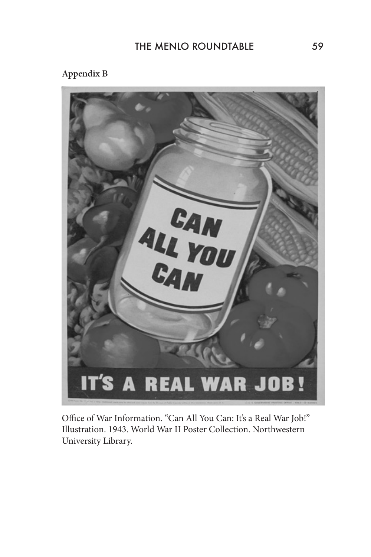## **Appendix B**



Office of War Information. "Can All You Can: It's a Real War Job!" Illustration. 1943. World War II Poster Collection. Northwestern University Library.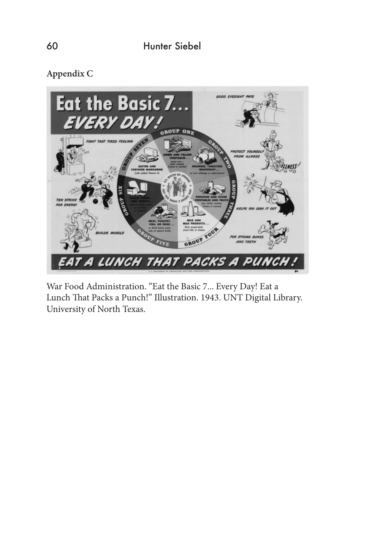**Appendix C**



War Food Administration. "Eat the Basic 7... Every Day! Eat a Lunch That Packs a Punch!" Illustration. 1943. UNT Digital Library. University of North Texas.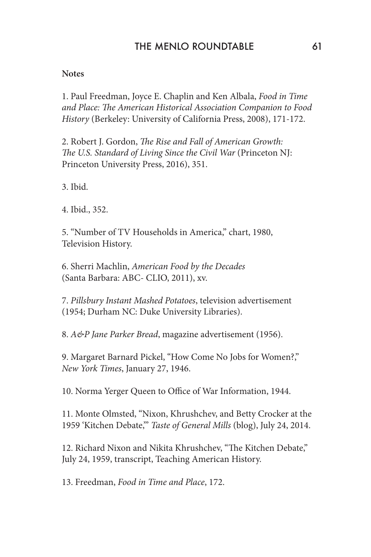## THE MENIO ROUNDTABLE 61

#### **Notes**

1. Paul Freedman, Joyce E. Chaplin and Ken Albala, *Food in Time and Place: The American Historical Association Companion to Food History* (Berkeley: University of California Press, 2008), 171-172.

2. Robert J. Gordon, *The Rise and Fall of American Growth: The U.S. Standard of Living Since the Civil War* (Princeton NJ: Princeton University Press, 2016), 351.

3. Ibid.

4. Ibid., 352.

5. "Number of TV Households in America," chart, 1980, Television History.

6. Sherri Machlin, *American Food by the Decades* (Santa Barbara: ABC- CLIO, 2011), xv.

7. *Pillsbury Instant Mashed Potatoes*, television advertisement (1954; Durham NC: Duke University Libraries).

8. *A&P Jane Parker Bread*, magazine advertisement (1956).

9. Margaret Barnard Pickel, "How Come No Jobs for Women?," *New York Times*, January 27, 1946.

10. Norma Yerger Queen to Office of War Information, 1944.

11. Monte Olmsted, "Nixon, Khrushchev, and Betty Crocker at the 1959 'Kitchen Debate,'" *Taste of General Mills* (blog), July 24, 2014.

12. Richard Nixon and Nikita Khrushchev, "The Kitchen Debate," July 24, 1959, transcript, Teaching American History.

13. Freedman, *Food in Time and Place*, 172.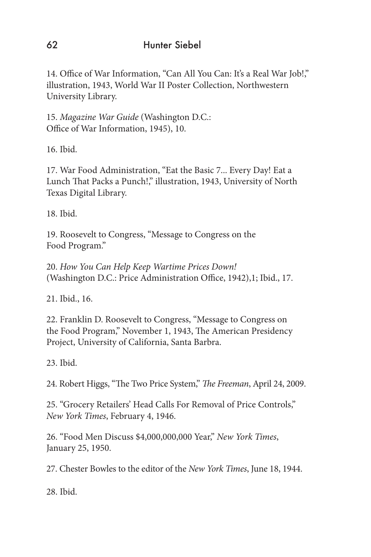14. Office of War Information, "Can All You Can: It's a Real War Job!," illustration, 1943, World War II Poster Collection, Northwestern University Library.

15. *Magazine War Guide* (Washington D.C.: Office of War Information, 1945), 10.

16. Ibid.

17. War Food Administration, "Eat the Basic 7... Every Day! Eat a Lunch That Packs a Punch!," illustration, 1943, University of North Texas Digital Library.

18. Ibid.

19. Roosevelt to Congress, "Message to Congress on the Food Program."

20. *How You Can Help Keep Wartime Prices Down!* (Washington D.C.: Price Administration Office, 1942),1; Ibid., 17.

21. Ibid., 16.

22. Franklin D. Roosevelt to Congress, "Message to Congress on the Food Program," November 1, 1943, The American Presidency Project, University of California, Santa Barbra.

23. Ibid.

24. Robert Higgs, "The Two Price System," *The Freeman*, April 24, 2009.

25. "Grocery Retailers' Head Calls For Removal of Price Controls," *New York Times*, February 4, 1946.

26. "Food Men Discuss \$4,000,000,000 Year," *New York Times*, January 25, 1950.

27. Chester Bowles to the editor of the *New York Times*, June 18, 1944.

28. Ibid.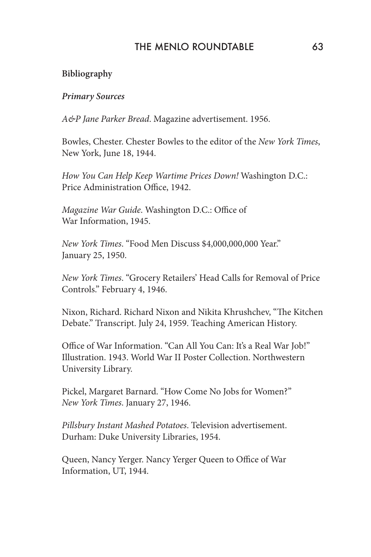## THE MENLO ROUNDTABLE 63

### **Bibliography**

#### *Primary Sources*

*A&P Jane Parker Bread*. Magazine advertisement. 1956.

Bowles, Chester. Chester Bowles to the editor of the *New York Times*, New York, June 18, 1944.

*How You Can Help Keep Wartime Prices Down!* Washington D.C.: Price Administration Office, 1942.

*Magazine War Guide*. Washington D.C.: Office of War Information, 1945.

*New York Times*. "Food Men Discuss \$4,000,000,000 Year." January 25, 1950.

*New York Times*. "Grocery Retailers' Head Calls for Removal of Price Controls." February 4, 1946.

Nixon, Richard. Richard Nixon and Nikita Khrushchev, "The Kitchen Debate." Transcript. July 24, 1959. Teaching American History.

Office of War Information. "Can All You Can: It's a Real War Job!" Illustration. 1943. World War II Poster Collection. Northwestern University Library.

Pickel, Margaret Barnard. "How Come No Jobs for Women?" *New York Times*. January 27, 1946.

*Pillsbury Instant Mashed Potatoes*. Television advertisement. Durham: Duke University Libraries, 1954.

Queen, Nancy Yerger. Nancy Yerger Queen to Office of War Information, UT, 1944.